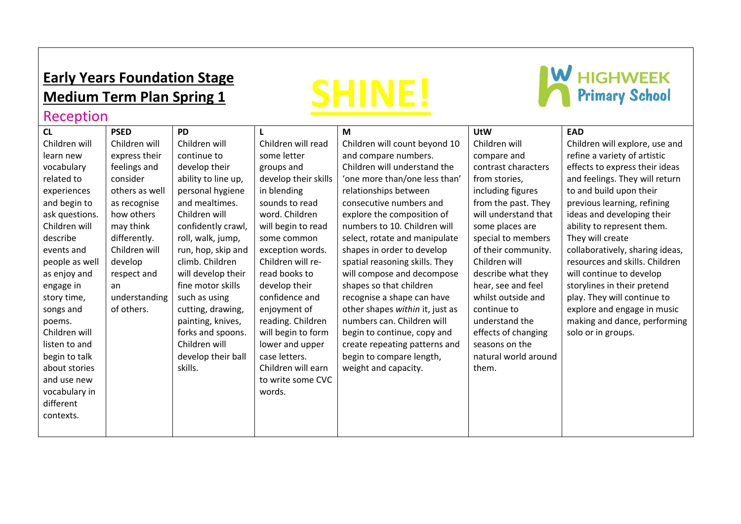# **Early Years Foundation Stage Medium Term Plan Spring 1**



# **W** HIGHWEEK

## Reception

| CL             | <b>PSED</b>    | <b>PD</b>           |                      | M                               | <b>UtW</b>           | <b>EAD</b>                      |
|----------------|----------------|---------------------|----------------------|---------------------------------|----------------------|---------------------------------|
| Children will  | Children will  | Children will       | Children will read   | Children will count beyond 10   | Children will        | Children will explore, use and  |
| learn new      | express their  | continue to         | some letter          | and compare numbers.            | compare and          | refine a variety of artistic    |
| vocabulary     | feelings and   | develop their       | groups and           | Children will understand the    | contrast characters  | effects to express their ideas  |
| related to     | consider       | ability to line up, | develop their skills | 'one more than/one less than'   | from stories,        | and feelings. They will return  |
| experiences    | others as well | personal hygiene    | in blending          | relationships between           | including figures    | to and build upon their         |
| and begin to   | as recognise   | and mealtimes.      | sounds to read       | consecutive numbers and         | from the past. They  | previous learning, refining     |
| ask questions. | how others     | Children will       | word. Children       | explore the composition of      | will understand that | ideas and developing their      |
| Children will  | may think      | confidently crawl,  | will begin to read   | numbers to 10. Children will    | some places are      | ability to represent them.      |
| describe       | differently.   | roll, walk, jump,   | some common          | select, rotate and manipulate   | special to members   | They will create                |
| events and     | Children will  | run, hop, skip and  | exception words.     | shapes in order to develop      | of their community.  | collaboratively, sharing ideas, |
| people as well | develop        | climb. Children     | Children will re-    | spatial reasoning skills. They  | Children will        | resources and skills. Children  |
| as enjoy and   | respect and    | will develop their  | read books to        | will compose and decompose      | describe what they   | will continue to develop        |
| engage in      | an             | fine motor skills   | develop their        | shapes so that children         | hear, see and feel   | storylines in their pretend     |
| story time,    | understanding  | such as using       | confidence and       | recognise a shape can have      | whilst outside and   | play. They will continue to     |
| songs and      | of others.     | cutting, drawing,   | enjoyment of         | other shapes within it, just as | continue to          | explore and engage in music     |
| poems.         |                | painting, knives,   | reading. Children    | numbers can. Children will      | understand the       | making and dance, performing    |
| Children will  |                | forks and spoons.   | will begin to form   | begin to continue, copy and     | effects of changing  | solo or in groups.              |
| listen to and  |                | Children will       | lower and upper      | create repeating patterns and   | seasons on the       |                                 |
| begin to talk  |                | develop their ball  | case letters.        | begin to compare length,        | natural world around |                                 |
| about stories  |                | skills.             | Children will earn   | weight and capacity.            | them.                |                                 |
| and use new    |                |                     | to write some CVC    |                                 |                      |                                 |
| vocabulary in  |                |                     | words.               |                                 |                      |                                 |
| different      |                |                     |                      |                                 |                      |                                 |
| contexts.      |                |                     |                      |                                 |                      |                                 |
|                |                |                     |                      |                                 |                      |                                 |